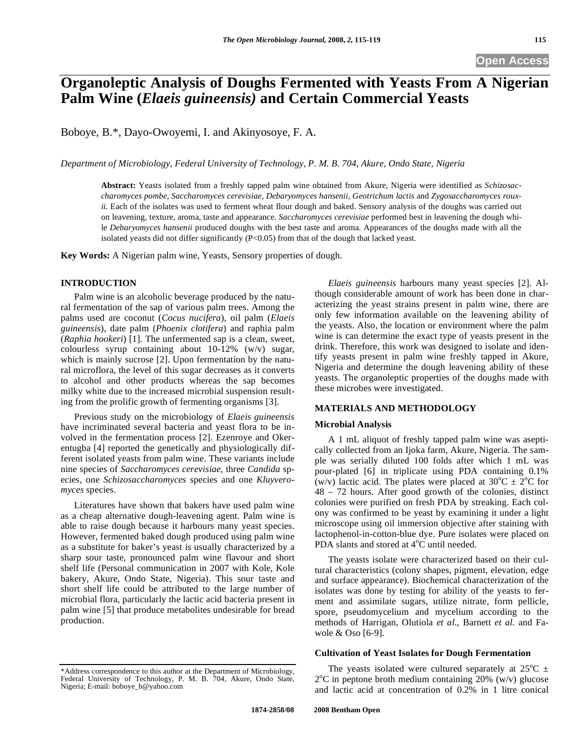# **Organoleptic Analysis of Doughs Fermented with Yeasts From A Nigerian Palm Wine (***Elaeis guineensis)* **and Certain Commercial Yeasts**

Boboye, B.\*, Dayo-Owoyemi, I. and Akinyosoye, F. A.

*Department of Microbiology, Federal University of Technology, P. M. B. 704, Akure, Ondo State, Nigeria* 

**Abstract:** Yeasts isolated from a freshly tapped palm wine obtained from Akure, Nigeria were identified as *Schizosaccharomyces pombe*, *Saccharomyces cerevisiae, Debaryomyces hansenii, Geotrichum lactis* and *Zygosaccharomyces rouxii*. Each of the isolates was used to ferment wheat flour dough and baked. Sensory analysis of the doughs was carried out on leavening, texture, aroma, taste and appearance. *Saccharomyces cerevisiae* performed best in leavening the dough while *Debaryomyces hansenii* produced doughs with the best taste and aroma. Appearances of the doughs made with all the isolated yeasts did not differ significantly (P<0.05) from that of the dough that lacked yeast.

**Key Words:** A Nigerian palm wine, Yeasts, Sensory properties of dough.

# **INTRODUCTION**

Palm wine is an alcoholic beverage produced by the natural fermentation of the sap of various palm trees. Among the palms used are coconut (*Cocus nucifera*), oil palm (*Elaeis guineensis*), date palm (*Phoenix clotifera*) and raphia palm (*Raphia hookeri*) [1]. The unfermented sap is a clean, sweet, colourless syrup containing about 10-12% (w/v) sugar, which is mainly sucrose [2]. Upon fermentation by the natural microflora, the level of this sugar decreases as it converts to alcohol and other products whereas the sap becomes milky white due to the increased microbial suspension resulting from the prolific growth of fermenting organisms [3].

Previous study on the microbiology of *Elaeis guineensis* have incriminated several bacteria and yeast flora to be involved in the fermentation process [2]. Ezenroye and Okerentugba [4] reported the genetically and physiologically different isolated yeasts from palm wine. These variants include nine species of *Saccharomyces cerevisiae*, three *Candida* species, one *Schizosaccharomyces* species and one *Kluyveromyces* species.

Literatures have shown that bakers have used palm wine as a cheap alternative dough-leavening agent. Palm wine is able to raise dough because it harbours many yeast species. However, fermented baked dough produced using palm wine as a substitute for baker's yeast is usually characterized by a sharp sour taste, pronounced palm wine flavour and short shelf life (Personal communication in 2007 with Kole, Kole bakery, Akure, Ondo State, Nigeria). This sour taste and short shelf life could be attributed to the large number of microbial flora, particularly the lactic acid bacteria present in palm wine [5] that produce metabolites undesirable for bread production.

\*Address correspondence to this author at the Department of Microbiology, Federal University of Technology, P. M. B. 704, Akure, Ondo State, Nigeria; E-mail: boboye\_b@yahoo.com

 *Elaeis guineensis* harbours many yeast species [2]. Although considerable amount of work has been done in characterizing the yeast strains present in palm wine, there are only few information available on the leavening ability of the yeasts. Also, the location or environment where the palm wine is can determine the exact type of yeasts present in the drink. Therefore, this work was designed to isolate and identify yeasts present in palm wine freshly tapped in Akure, Nigeria and determine the dough leavening ability of these yeasts. The organoleptic properties of the doughs made with these microbes were investigated.

## **MATERIALS AND METHODOLOGY**

### **Microbial Analysis**

A 1 mL aliquot of freshly tapped palm wine was aseptically collected from an Ijoka farm, Akure, Nigeria. The sample was serially diluted 100 folds after which 1 mL was pour-plated [6] in triplicate using PDA containing 0.1% (w/v) lactic acid. The plates were placed at  $30^{\circ}$ C  $\pm 2^{\circ}$ C for 48 – 72 hours. After good growth of the colonies, distinct colonies were purified on fresh PDA by streaking. Each colony was confirmed to be yeast by examining it under a light microscope using oil immersion objective after staining with lactophenol-in-cotton-blue dye. Pure isolates were placed on PDA slants and stored at  $4^{\circ}$ C until needed.

The yeasts isolate were characterized based on their cultural characteristics (colony shapes, pigment, elevation, edge and surface appearance). Biochemical characterization of the isolates was done by testing for ability of the yeasts to ferment and assimilate sugars, utilize nitrate, form pellicle, spore, pseudomycelium and mycelium according to the methods of Harrigan, Olutiola *et al*., Barnett *et al.* and Fawole & Oso [6-9].

#### **Cultivation of Yeast Isolates for Dough Fermentation**

The yeasts isolated were cultured separately at  $25^{\circ}$ C  $\pm$  $2^{\circ}$ C in peptone broth medium containing  $20\%$  (w/v) glucose and lactic acid at concentration of 0.2% in 1 litre conical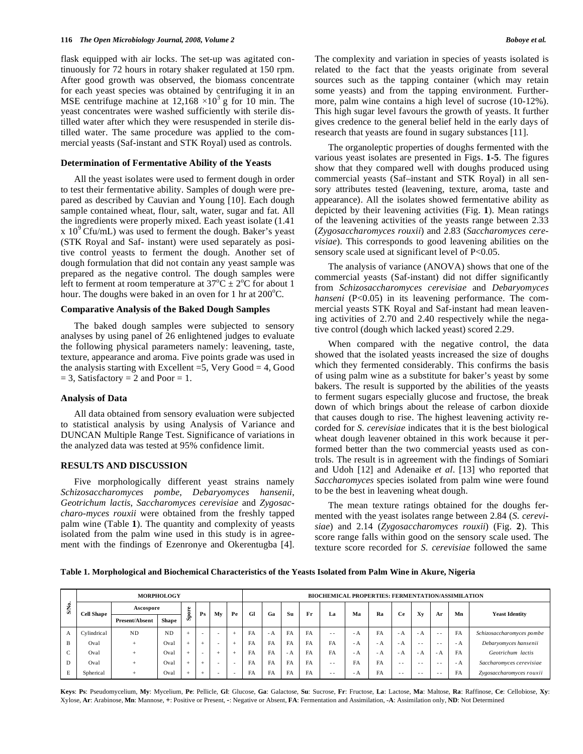flask equipped with air locks. The set-up was agitated continuously for 72 hours in rotary shaker regulated at 150 rpm. After good growth was observed, the biomass concentrate for each yeast species was obtained by centrifuging it in an MSE centrifuge machine at  $12,168 \times 10^3$  g for 10 min. The yeast concentrates were washed sufficiently with sterile distilled water after which they were resuspended in sterile distilled water. The same procedure was applied to the commercial yeasts (Saf-instant and STK Royal) used as controls.

#### **Determination of Fermentative Ability of the Yeasts**

All the yeast isolates were used to ferment dough in order to test their fermentative ability. Samples of dough were prepared as described by Cauvian and Young [10]. Each dough sample contained wheat, flour, salt, water, sugar and fat. All the ingredients were properly mixed. Each yeast isolate (1.41  $x 10<sup>9</sup>$  Cfu/mL) was used to ferment the dough. Baker's yeast (STK Royal and Saf- instant) were used separately as positive control yeasts to ferment the dough. Another set of dough formulation that did not contain any yeast sample was prepared as the negative control. The dough samples were left to ferment at room temperature at  $37^{\circ}C \pm 2^{\circ}C$  for about 1 hour. The doughs were baked in an oven for 1 hr at  $200^{\circ}$ C.

#### **Comparative Analysis of the Baked Dough Samples**

The baked dough samples were subjected to sensory analyses by using panel of 26 enlightened judges to evaluate the following physical parameters namely: leavening, taste, texture, appearance and aroma. Five points grade was used in the analysis starting with Excellent  $=5$ , Very Good  $=4$ , Good  $= 3$ , Satisfactory  $= 2$  and Poor  $= 1$ .

#### **Analysis of Data**

All data obtained from sensory evaluation were subjected to statistical analysis by using Analysis of Variance and DUNCAN Multiple Range Test. Significance of variations in the analyzed data was tested at 95% confidence limit.

## **RESULTS AND DISCUSSION**

Five morphologically different yeast strains namely *Schizosaccharomyces pombe*, *Debaryomyces hansenii*, *Geotrichum lactis*, *Saccharomyces cerevisiae* and *Zygosaccharo-myces rouxii* were obtained from the freshly tapped palm wine (Table **1**). The quantity and complexity of yeasts isolated from the palm wine used in this study is in agreement with the findings of Ezenronye and Okerentugba [4].

The organoleptic properties of doughs fermented with the various yeast isolates are presented in Figs. **1-5**. The figures show that they compared well with doughs produced using commercial yeasts (Saf–instant and STK Royal) in all sensory attributes tested (leavening, texture, aroma, taste and appearance). All the isolates showed fermentative ability as depicted by their leavening activities (Fig. **1**). Mean ratings of the leavening activities of the yeasts range between 2.33 (*Zygosaccharomyces rouxii*) and 2.83 (*Saccharomyces cerevisiae*). This corresponds to good leavening abilities on the sensory scale used at significant level of P<0.05.

The analysis of variance (ANOVA) shows that one of the commercial yeasts (Saf-instant) did not differ significantly from *Schizosaccharomyces cerevisiae* and *Debaryomyces hanseni* (P<0.05) in its leavening performance. The commercial yeasts STK Royal and Saf-instant had mean leavening activities of 2.70 and 2.40 respectively while the negative control (dough which lacked yeast) scored 2.29.

When compared with the negative control, the data showed that the isolated yeasts increased the size of doughs which they fermented considerably. This confirms the basis of using palm wine as a substitute for baker's yeast by some bakers. The result is supported by the abilities of the yeasts to ferment sugars especially glucose and fructose, the break down of which brings about the release of carbon dioxide that causes dough to rise. The highest leavening activity recorded for *S. cerevisiae* indicates that it is the best biological wheat dough leavener obtained in this work because it performed better than the two commercial yeasts used as controls. The result is in agreement with the findings of Somiari and Udoh [12] and Adenaike *et al*. [13] who reported that *Saccharomyces* species isolated from palm wine were found to be the best in leavening wheat dough.

The mean texture ratings obtained for the doughs fermented with the yeast isolates range between 2.84 (*S. cerevisiae*) and 2.14 (*Zygosaccharomyces rouxii*) (Fig. **2**). This score range falls within good on the sensory scale used. The texture score recorded for *S. cerevisiae* followed the same

**Table 1. Morphological and Biochemical Characteristics of the Yeasts Isolated from Palm Wine in Akure, Nigeria** 

| SNo. | <b>MORPHOLOGY</b> |                |              |               |                |                          |                          |           | <b>BIOCHEMICAL PROPERTIES: FERMENTATION/ASSIMILATION</b> |           |           |      |      |      |      |      |               |           |                           |  |
|------|-------------------|----------------|--------------|---------------|----------------|--------------------------|--------------------------|-----------|----------------------------------------------------------|-----------|-----------|------|------|------|------|------|---------------|-----------|---------------------------|--|
|      | <b>Cell Shape</b> | Ascospore      |              | ere           | P <sub>S</sub> | Mv                       | Pe                       | <b>Gl</b> | Ga                                                       | Su        | Fr        | La   | Ma   | Ra   | Ce   | Xv   |               | Mn        | <b>Yeast Identity</b>     |  |
|      |                   | Present/Absent | <b>Shape</b> | கி            |                |                          |                          |           |                                                          |           |           |      |      |      |      |      | Ar            |           |                           |  |
| A    | Cylindrical       | <b>ND</b>      | <b>ND</b>    | $\ddot{}$     | <b>.</b>       | -                        |                          | FA        | - A                                                      | FA        | FA        | $ -$ | - A  | FA   | - A  | - A  | $- -$         | FA        | Schizosaccharomyces pombe |  |
| B    | Oval              | $+$            | Oval         | -44           |                | $\overline{\phantom{a}}$ |                          | FA        | <b>FA</b>                                                | FA        | <b>FA</b> | FA   | - A  | $-A$ | - A  | $ -$ | $ -$          | $-A$      | Debaryomyces hansenii     |  |
| C    | Oval              | $+$            | Oval         | $\mathcal{A}$ | <b>.</b>       |                          |                          | FA        | FA                                                       | - A       | <b>FA</b> | FA   | $-A$ | - A  | - A  | - A  | $-A$          | <b>FA</b> | Geotrichum lactis         |  |
| D    | Oval              | $+$            | Oval         | <b>A</b>      |                | $\overline{\phantom{a}}$ | $\overline{\phantom{a}}$ | FA        | FA                                                       | FA        | <b>FA</b> | $ -$ | FA   | FA   | $ -$ | $ -$ | $ -$          | - A       | Saccharomyces cerevisiae  |  |
| E    | Spherical         | $+$            | Oval         | sk.           |                | -                        | $\overline{\phantom{a}}$ | FA        | FA                                                       | <b>FA</b> | <b>FA</b> | $ -$ | - A  | FA   | $ -$ | $ -$ | $\sim$ $\sim$ | FA        | Zygosaccharomyces rouxii  |  |

Keys: Ps: Pseudomycelium, My: Mycelium, Pe: Pellicle, Gl: Glucose, Ga: Galactose, Su: Sucrose, Fr: Fructose, La: Lactose, Ma: Maltose, Ra: Raffinose, Ce: Cellobiose, Xy: Xylose, **Ar**: Arabinose, **Mn**: Mannose, **+**: Positive or Present, **-**: Negative or Absent, **FA**: Fermentation and Assimilation, **-A**: Assimilation only, **ND**: Not Determined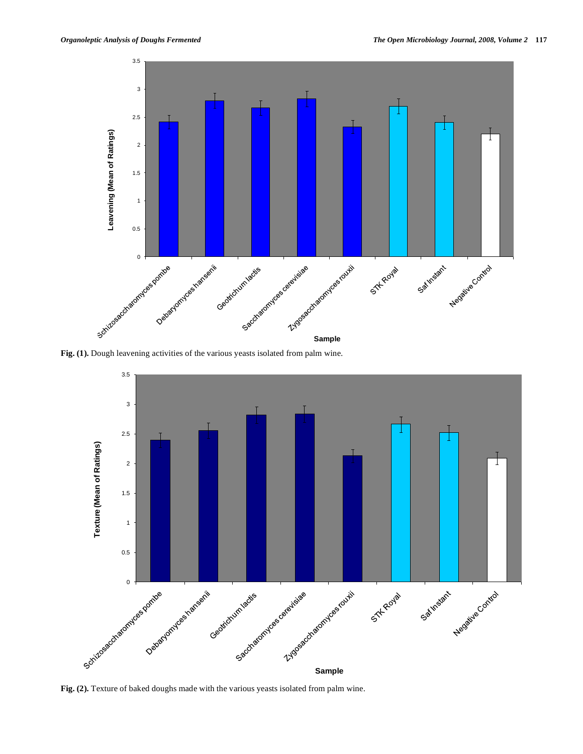

**Fig. (1).** Dough leavening activities of the various yeasts isolated from palm wine.



**Fig. (2).** Texture of baked doughs made with the various yeasts isolated from palm wine.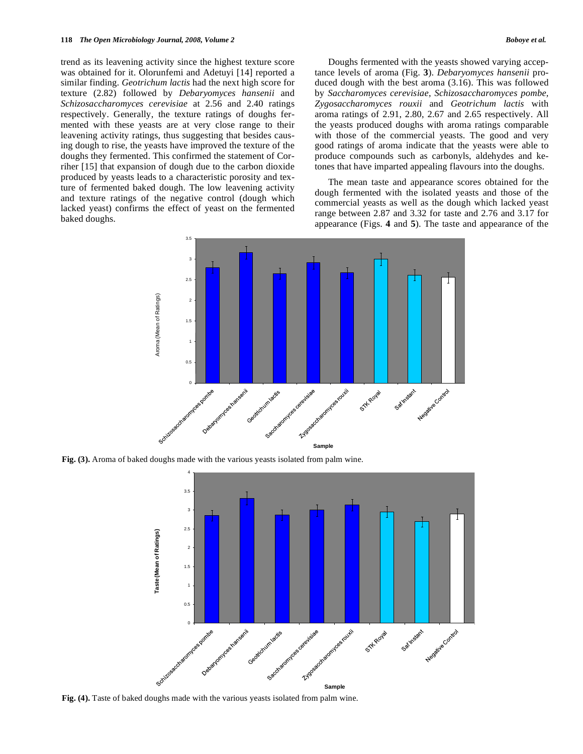trend as its leavening activity since the highest texture score was obtained for it. Olorunfemi and Adetuyi [14] reported a similar finding. *Geotrichum lactis* had the next high score for texture (2.82) followed by *Debaryomyces hansenii* and *Schizosaccharomyces cerevisiae* at 2.56 and 2.40 ratings respectively. Generally, the texture ratings of doughs fermented with these yeasts are at very close range to their leavening activity ratings, thus suggesting that besides causing dough to rise, the yeasts have improved the texture of the doughs they fermented. This confirmed the statement of Corriher [15] that expansion of dough due to the carbon dioxide produced by yeasts leads to a characteristic porosity and texture of fermented baked dough. The low leavening activity and texture ratings of the negative control (dough which lacked yeast) confirms the effect of yeast on the fermented baked doughs.

Doughs fermented with the yeasts showed varying acceptance levels of aroma (Fig. **3**). *Debaryomyces hansenii* produced dough with the best aroma (3.16). This was followed by *Saccharomyces cerevisiae*, *Schizosaccharomyces pombe, Zygosaccharomyces rouxii* and *Geotrichum lactis* with aroma ratings of 2.91, 2.80, 2.67 and 2.65 respectively. All the yeasts produced doughs with aroma ratings comparable with those of the commercial yeasts. The good and very good ratings of aroma indicate that the yeasts were able to produce compounds such as carbonyls, aldehydes and ketones that have imparted appealing flavours into the doughs.

The mean taste and appearance scores obtained for the dough fermented with the isolated yeasts and those of the commercial yeasts as well as the dough which lacked yeast range between 2.87 and 3.32 for taste and 2.76 and 3.17 for appearance (Figs. **4** and **5**). The taste and appearance of the



**Fig. (3).** Aroma of baked doughs made with the various yeasts isolated from palm wine.



**Fig. (4).** Taste of baked doughs made with the various yeasts isolated from palm wine.